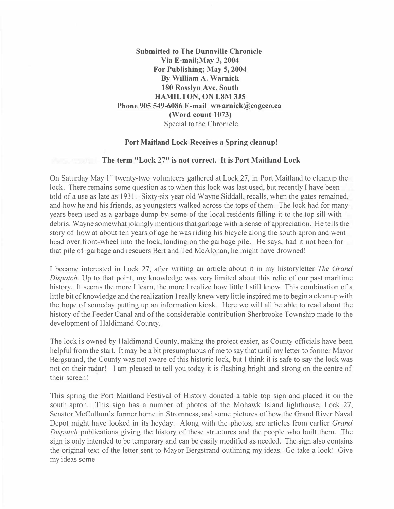**Submitted to The Dunnville Chronicle Via E-mail;May 3, 2004 For Publishing; May 5, 2004 By William A. Warnick 180 Rosslyn Ave. South HAMILTON, ON L8M 3J5 Phone 905 549-6086 E-mail wwarnick@cogeco.ca (Word count 1073)**  Special to the Chronicle

## **Port Maitland Lock Receives a Spring cleanup!**

## **The term "Lock 27" is not correct. It is Port Maitland Lock**

On Saturday May 1<sup>st</sup> twenty-two volunteers gathered at Lock 27, in Port Maitland to cleanup the lock. There remains some question as to when this lock was last used, but recently I have been told ofa use as late as 1931. Sixty-six year old Wayne Siddall, recalls, when the gates remained, and how he and his friends, as youngsters walked across the tops of them. The lock had for many years been used as a garbage dump by some of the local residents filling it to the top sill with debris. Wayne somewhat jokingly mentions that garbage with a sense of appreciation. He tells the story of how at about ten years of age he was riding his bicycle along the south apron and went head over front-wheel into the lock, landing on the garbage pile. He says, had it not been for that pile of garbage and rescuers Bert and Ted McAlonan, he might have drowned!

I became interested in Lock 27, after writing an article about it in my historyletter *The Grand Dispatch.* Up to that point, my knowledge was very limited about this relic of our past maritime history. It seems the more I learn, the more I realize how little I still know This combination of a little bit of knowledge and the realization I really knew very little inspired me to begin a cleanup with the hope of someday putting up an information kiosk. Here we will all be able to read about the history of the Feeder Canal and of the considerable contribution Sherbrooke Township made to the development of Haldimand County.

The lock is owned by Haldimand County, making the project easier, as County officials have been helpful from the start. It may be a bit presumptuous of me to say that until my letter to former Mayor Bergstrand, the County was not aware of this historic lock, but I think it is safe to say the lock was not on their ra�ar! I am <sup>p</sup>leased to tell you today it is flashing bright and strong on the centre of their screen!

This spring the Port Maitland Festival of History donated a table top sign and placed it on the south apron. This sign has a number of photos of the Mohawk Island lighthouse, Lock 27, Senator McCullum's former home in Stromness, and some pictures of how the Grand River Naval Depot might have looked in its heyday. Along with the photos, are articles from earlier *Grand Dispatch* publications giving the history of these structures and the people who built them. The sign is only intended to be temporary and can be easily modified as needed. The sign also contains the original text of the letter sent to Mayor Bergstrand outlining my ideas. Go take a look! Give my ideas some